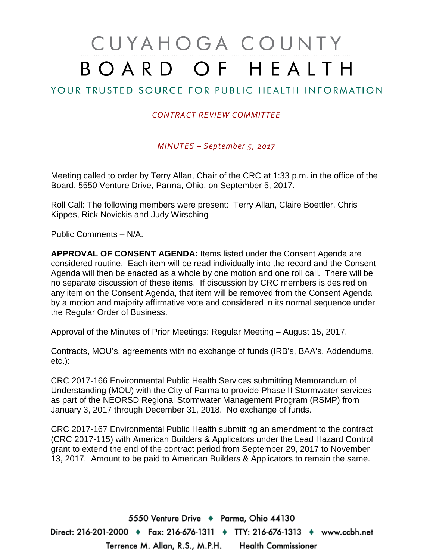# CUYAHOGA COUNTY BOARD OF HEALTH

## YOUR TRUSTED SOURCE FOR PUBLIC HEALTH INFORMATION

#### *CONTRACT REVIEW COMMITTEE*

*MINUTES – September 5, 2017*

Meeting called to order by Terry Allan, Chair of the CRC at 1:33 p.m. in the office of the Board, 5550 Venture Drive, Parma, Ohio, on September 5, 2017.

Roll Call: The following members were present: Terry Allan, Claire Boettler, Chris Kippes, Rick Novickis and Judy Wirsching

Public Comments – N/A.

**APPROVAL OF CONSENT AGENDA:** Items listed under the Consent Agenda are considered routine. Each item will be read individually into the record and the Consent Agenda will then be enacted as a whole by one motion and one roll call. There will be no separate discussion of these items. If discussion by CRC members is desired on any item on the Consent Agenda, that item will be removed from the Consent Agenda by a motion and majority affirmative vote and considered in its normal sequence under the Regular Order of Business.

Approval of the Minutes of Prior Meetings: Regular Meeting – August 15, 2017.

Contracts, MOU's, agreements with no exchange of funds (IRB's, BAA's, Addendums, etc.):

CRC 2017-166 Environmental Public Health Services submitting Memorandum of Understanding (MOU) with the City of Parma to provide Phase II Stormwater services as part of the NEORSD Regional Stormwater Management Program (RSMP) from January 3, 2017 through December 31, 2018. No exchange of funds.

CRC 2017-167 Environmental Public Health submitting an amendment to the contract (CRC 2017-115) with American Builders & Applicators under the Lead Hazard Control grant to extend the end of the contract period from September 29, 2017 to November 13, 2017. Amount to be paid to American Builders & Applicators to remain the same.

5550 Venture Drive + Parma, Ohio 44130 Direct: 216-201-2000 ♦ Fax: 216-676-1311 ♦ TTY: 216-676-1313 ♦ www.ccbh.net Terrence M. Allan, R.S., M.P.H. Health Commissioner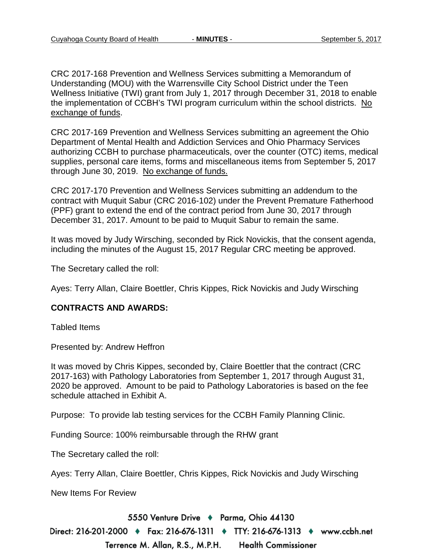CRC 2017-168 Prevention and Wellness Services submitting a Memorandum of Understanding (MOU) with the Warrensville City School District under the Teen Wellness Initiative (TWI) grant from July 1, 2017 through December 31, 2018 to enable the implementation of CCBH's TWI program curriculum within the school districts. No exchange of funds.

CRC 2017-169 Prevention and Wellness Services submitting an agreement the Ohio Department of Mental Health and Addiction Services and Ohio Pharmacy Services authorizing CCBH to purchase pharmaceuticals, over the counter (OTC) items, medical supplies, personal care items, forms and miscellaneous items from September 5, 2017 through June 30, 2019. No exchange of funds.

CRC 2017-170 Prevention and Wellness Services submitting an addendum to the contract with Muquit Sabur (CRC 2016-102) under the Prevent Premature Fatherhood (PPF) grant to extend the end of the contract period from June 30, 2017 through December 31, 2017. Amount to be paid to Muquit Sabur to remain the same.

It was moved by Judy Wirsching, seconded by Rick Novickis, that the consent agenda, including the minutes of the August 15, 2017 Regular CRC meeting be approved.

The Secretary called the roll:

Ayes: Terry Allan, Claire Boettler, Chris Kippes, Rick Novickis and Judy Wirsching

#### **CONTRACTS AND AWARDS:**

Tabled Items

Presented by: Andrew Heffron

It was moved by Chris Kippes, seconded by, Claire Boettler that the contract (CRC 2017-163) with Pathology Laboratories from September 1, 2017 through August 31, 2020 be approved. Amount to be paid to Pathology Laboratories is based on the fee schedule attached in Exhibit A.

Purpose: To provide lab testing services for the CCBH Family Planning Clinic.

Funding Source: 100% reimbursable through the RHW grant

The Secretary called the roll:

Ayes: Terry Allan, Claire Boettler, Chris Kippes, Rick Novickis and Judy Wirsching

New Items For Review

5550 Venture Drive + Parma, Ohio 44130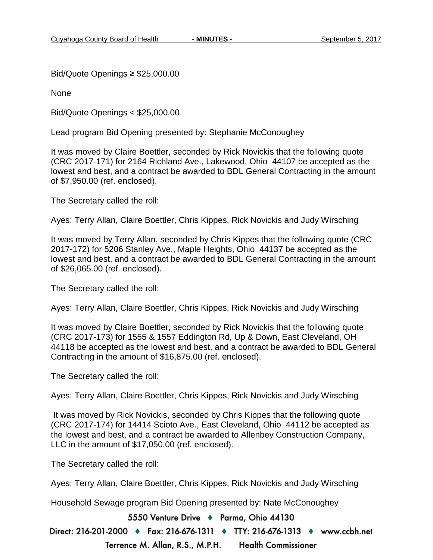Bid/Quote Openings ≥ \$25,000.00

None

Bid/Quote Openings < \$25,000.00

Lead program Bid Opening presented by: Stephanie McConoughey

It was moved by Claire Boettler, seconded by Rick Novickis that the following quote (CRC 2017-171) for 2164 Richland Ave., Lakewood, Ohio 44107 be accepted as the lowest and best, and a contract be awarded to BDL General Contracting in the amount of \$7,950.00 (ref. enclosed).

The Secretary called the roll:

Ayes: Terry Allan, Claire Boettler, Chris Kippes, Rick Novickis and Judy Wirsching

It was moved by Terry Allan, seconded by Chris Kippes that the following quote (CRC 2017-172) for 5206 Stanley Ave., Maple Heights, Ohio 44137 be accepted as the lowest and best, and a contract be awarded to BDL General Contracting in the amount of \$26,065.00 (ref. enclosed).

The Secretary called the roll:

Ayes: Terry Allan, Claire Boettler, Chris Kippes, Rick Novickis and Judy Wirsching

It was moved by Claire Boettler, seconded by Rick Novickis that the following quote (CRC 2017-173) for 1555 & 1557 Eddington Rd, Up & Down, East Cleveland, OH 44118 be accepted as the lowest and best, and a contract be awarded to BDL General Contracting in the amount of \$16,875.00 (ref. enclosed).

The Secretary called the roll:

Ayes: Terry Allan, Claire Boettler, Chris Kippes, Rick Novickis and Judy Wirsching

It was moved by Rick Novickis, seconded by Chris Kippes that the following quote (CRC 2017-174) for 14414 Scioto Ave., East Cleveland, Ohio 44112 be accepted as the lowest and best, and a contract be awarded to Allenbey Construction Company, LLC in the amount of \$17,050.00 (ref. enclosed).

The Secretary called the roll:

Ayes: Terry Allan, Claire Boettler, Chris Kippes, Rick Novickis and Judy Wirsching

Household Sewage program Bid Opening presented by: Nate McConoughey

5550 Venture Drive + Parma, Ohio 44130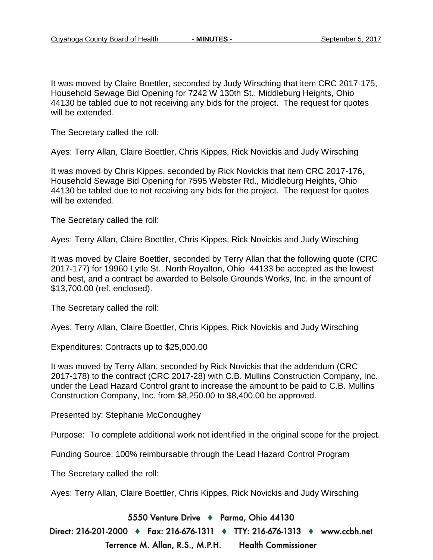It was moved by Claire Boettler, seconded by Judy Wirsching that item CRC 2017-175, Household Sewage Bid Opening for 7242 W 130th St., Middleburg Heights, Ohio 44130 be tabled due to not receiving any bids for the project. The request for quotes will be extended.

The Secretary called the roll:

Ayes: Terry Allan, Claire Boettler, Chris Kippes, Rick Novickis and Judy Wirsching

It was moved by Chris Kippes, seconded by Rick Novickis that item CRC 2017-176, Household Sewage Bid Opening for 7595 Webster Rd., Middleburg Heights, Ohio 44130 be tabled due to not receiving any bids for the project. The request for quotes will be extended.

The Secretary called the roll:

Ayes: Terry Allan, Claire Boettler, Chris Kippes, Rick Novickis and Judy Wirsching

It was moved by Claire Boettler, seconded by Terry Allan that the following quote (CRC 2017-177) for 19960 Lytle St., North Royalton, Ohio 44133 be accepted as the lowest and best, and a contract be awarded to Belsole Grounds Works, Inc. in the amount of \$13,700.00 (ref. enclosed).

The Secretary called the roll:

Ayes: Terry Allan, Claire Boettler, Chris Kippes, Rick Novickis and Judy Wirsching

Expenditures: Contracts up to \$25,000.00

It was moved by Terry Allan, seconded by Rick Novickis that the addendum (CRC 2017-178) to the contract (CRC 2017-28) with C.B. Mullins Construction Company, Inc. under the Lead Hazard Control grant to increase the amount to be paid to C.B. Mullins Construction Company, Inc. from \$8,250.00 to \$8,400.00 be approved.

Presented by: Stephanie McConoughey

Purpose: To complete additional work not identified in the original scope for the project.

Funding Source: 100% reimbursable through the Lead Hazard Control Program

The Secretary called the roll:

Ayes: Terry Allan, Claire Boettler, Chris Kippes, Rick Novickis and Judy Wirsching

5550 Venture Drive + Parma, Ohio 44130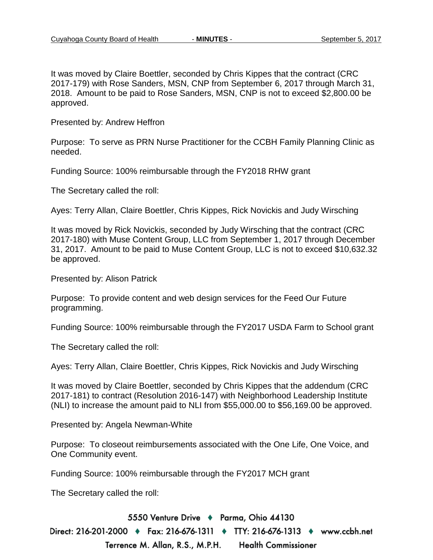It was moved by Claire Boettler, seconded by Chris Kippes that the contract (CRC 2017-179) with Rose Sanders, MSN, CNP from September 6, 2017 through March 31, 2018. Amount to be paid to Rose Sanders, MSN, CNP is not to exceed \$2,800.00 be approved.

Presented by: Andrew Heffron

Purpose: To serve as PRN Nurse Practitioner for the CCBH Family Planning Clinic as needed.

Funding Source: 100% reimbursable through the FY2018 RHW grant

The Secretary called the roll:

Ayes: Terry Allan, Claire Boettler, Chris Kippes, Rick Novickis and Judy Wirsching

It was moved by Rick Novickis, seconded by Judy Wirsching that the contract (CRC 2017-180) with Muse Content Group, LLC from September 1, 2017 through December 31, 2017. Amount to be paid to Muse Content Group, LLC is not to exceed \$10,632.32 be approved.

Presented by: Alison Patrick

Purpose: To provide content and web design services for the Feed Our Future programming.

Funding Source: 100% reimbursable through the FY2017 USDA Farm to School grant

The Secretary called the roll:

Ayes: Terry Allan, Claire Boettler, Chris Kippes, Rick Novickis and Judy Wirsching

It was moved by Claire Boettler, seconded by Chris Kippes that the addendum (CRC 2017-181) to contract (Resolution 2016-147) with Neighborhood Leadership Institute (NLI) to increase the amount paid to NLI from \$55,000.00 to \$56,169.00 be approved.

Presented by: Angela Newman-White

Purpose: To closeout reimbursements associated with the One Life, One Voice, and One Community event.

Funding Source: 100% reimbursable through the FY2017 MCH grant

The Secretary called the roll:

5550 Venture Drive + Parma, Ohio 44130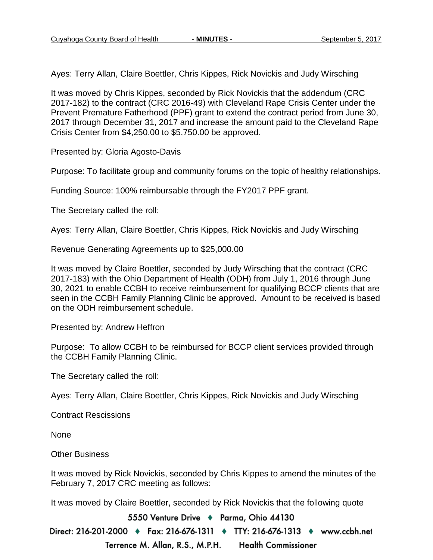Ayes: Terry Allan, Claire Boettler, Chris Kippes, Rick Novickis and Judy Wirsching

It was moved by Chris Kippes, seconded by Rick Novickis that the addendum (CRC 2017-182) to the contract (CRC 2016-49) with Cleveland Rape Crisis Center under the Prevent Premature Fatherhood (PPF) grant to extend the contract period from June 30, 2017 through December 31, 2017 and increase the amount paid to the Cleveland Rape Crisis Center from \$4,250.00 to \$5,750.00 be approved.

Presented by: Gloria Agosto-Davis

Purpose: To facilitate group and community forums on the topic of healthy relationships.

Funding Source: 100% reimbursable through the FY2017 PPF grant.

The Secretary called the roll:

Ayes: Terry Allan, Claire Boettler, Chris Kippes, Rick Novickis and Judy Wirsching

Revenue Generating Agreements up to \$25,000.00

It was moved by Claire Boettler, seconded by Judy Wirsching that the contract (CRC 2017-183) with the Ohio Department of Health (ODH) from July 1, 2016 through June 30, 2021 to enable CCBH to receive reimbursement for qualifying BCCP clients that are seen in the CCBH Family Planning Clinic be approved. Amount to be received is based on the ODH reimbursement schedule.

Presented by: Andrew Heffron

Purpose: To allow CCBH to be reimbursed for BCCP client services provided through the CCBH Family Planning Clinic.

The Secretary called the roll:

Ayes: Terry Allan, Claire Boettler, Chris Kippes, Rick Novickis and Judy Wirsching

Contract Rescissions

None

Other Business

It was moved by Rick Novickis, seconded by Chris Kippes to amend the minutes of the February 7, 2017 CRC meeting as follows:

It was moved by Claire Boettler, seconded by Rick Novickis that the following quote

5550 Venture Drive + Parma, Ohio 44130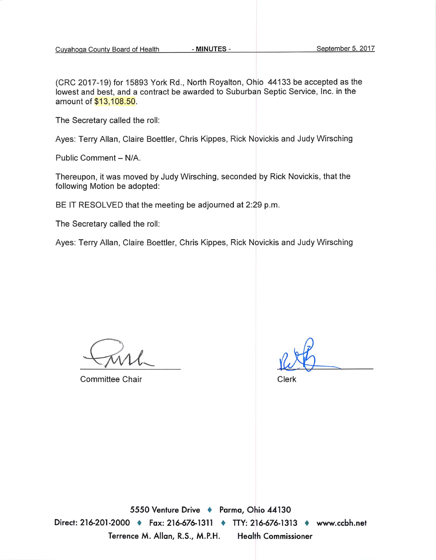(CRC 2017-19) for 15893 York Rd., North Royalton, Ohio 44133 be accepted as the lowest and best, and a contract be awarded to Suburban Septic Service, Inc. in the amount of \$13,108.50.

The Secretary called the roll:

Ayes: Terry Allan, Claire Boettler, Chris Kippes, Rick Novickis and Judy Wirsching

Public Comment - N/A.

Thereupon, it was moved by Judy Wirsching, seconded by Rick Novickis, that the following Motion be adopted:

BE IT RESOLVED that the meeting be adjourned at 2:29 p.m.

The Secretary called the roll:

Ayes: Terry Allan, Claire Boettler, Chris Kippes, Rick Novickis and Judy Wirsching

**Committee Chair** 

Clerk

5550 Venture Drive + Parma, Ohio 44130 Direct: 216-201-2000 • Fax: 216-676-1311 • TTY: 216-676-1313 • www.ccbh.net Terrence M. Allan, R.S., M.P.H. **Health Commissioner**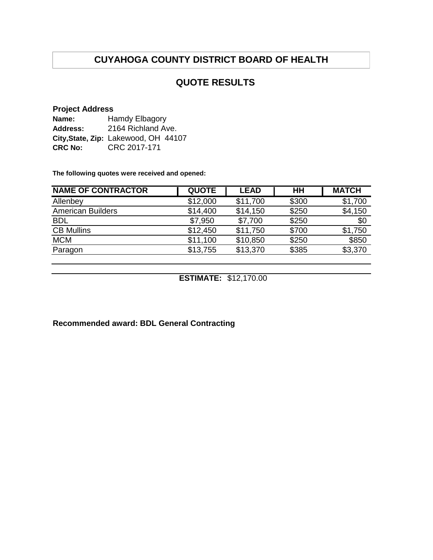## **QUOTE RESULTS**

#### **Project Address**

| Name:          | Hamdy Elbagory                       |  |  |  |  |
|----------------|--------------------------------------|--|--|--|--|
| Address:       | 2164 Richland Ave.                   |  |  |  |  |
|                | City, State, Zip: Lakewood, OH 44107 |  |  |  |  |
| <b>CRC No:</b> | CRC 2017-171                         |  |  |  |  |

**The following quotes were received and opened:**

| <b>NAME OF CONTRACTOR</b> | <b>QUOTE</b> | <b>LEAD</b> | HН    | <b>MATCH</b> |
|---------------------------|--------------|-------------|-------|--------------|
| Allenbey                  | \$12,000     | \$11,700    | \$300 | \$1,700      |
| <b>American Builders</b>  | \$14,400     | \$14,150    | \$250 | \$4,150      |
| <b>BDL</b>                | \$7,950      | \$7,700     | \$250 | \$0          |
| <b>CB Mullins</b>         | \$12,450     | \$11,750    | \$700 | \$1,750      |
| <b>MCM</b>                | \$11,100     | \$10,850    | \$250 | \$850        |
| Paragon                   | \$13,755     | \$13,370    | \$385 | \$3,370      |

**ESTIMATE:** \$12,170.00

**Recommended award: BDL General Contracting**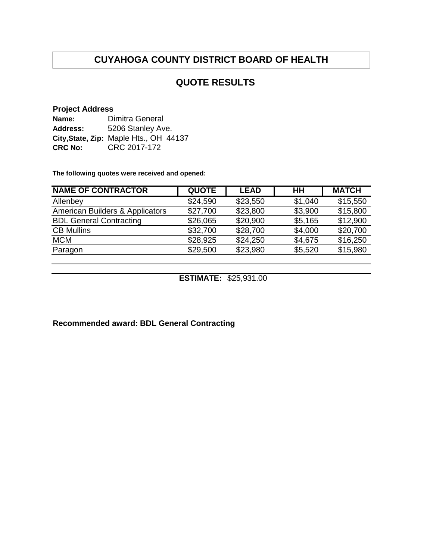## **QUOTE RESULTS**

#### **Project Address**

| Name:          | Dimitra General                        |  |  |  |  |
|----------------|----------------------------------------|--|--|--|--|
| Address:       | 5206 Stanley Ave.                      |  |  |  |  |
|                | City, State, Zip: Maple Hts., OH 44137 |  |  |  |  |
| <b>CRC No:</b> | CRC 2017-172                           |  |  |  |  |

**The following quotes were received and opened:**

| <b>NAME OF CONTRACTOR</b>       | <b>QUOTE</b> | <b>LEAD</b> | HН      | <b>MATCH</b> |
|---------------------------------|--------------|-------------|---------|--------------|
| Allenbey                        | \$24,590     | \$23,550    | \$1,040 | \$15,550     |
| American Builders & Applicators | \$27,700     | \$23,800    | \$3,900 | \$15,800     |
| <b>BDL General Contracting</b>  | \$26,065     | \$20,900    | \$5,165 | \$12,900     |
| <b>CB Mullins</b>               | \$32,700     | \$28,700    | \$4,000 | \$20,700     |
| <b>MCM</b>                      | \$28,925     | \$24,250    | \$4,675 | \$16,250     |
| Paragon                         | \$29,500     | \$23,980    | \$5,520 | \$15,980     |

**ESTIMATE:** \$25,931.00

**Recommended award: BDL General Contracting**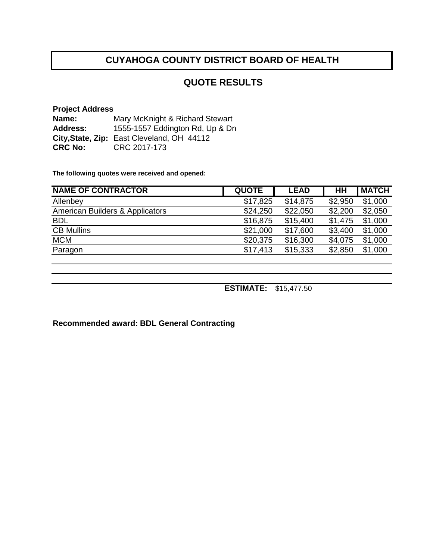## **QUOTE RESULTS**

**Project Address Name: Address: City,State, Zip:** East Cleveland, OH 44112 **CRC No:** CRC 2017-173 Mary McKnight & Richard Stewart 1555-1557 Eddington Rd, Up & Dn

**The following quotes were received and opened:**

| <b>NAME OF CONTRACTOR</b>       | <b>QUOTE</b> | <b>LEAD</b> | <b>HH</b> | <b>MATCH</b> |
|---------------------------------|--------------|-------------|-----------|--------------|
| Allenbey                        | \$17,825     | \$14,875    | \$2,950   | \$1,000      |
| American Builders & Applicators | \$24,250     | \$22,050    | \$2,200   | \$2,050      |
| <b>BDL</b>                      | \$16,875     | \$15,400    | \$1,475   | \$1,000      |
| <b>CB Mullins</b>               | \$21,000     | \$17,600    | \$3,400   | \$1,000      |
| <b>MCM</b>                      | \$20,375     | \$16,300    | \$4,075   | \$1,000      |
| Paragon                         | \$17,413     | \$15,333    | \$2,850   | \$1,000      |
|                                 |              |             |           |              |

**ESTIMATE:** \$15,477.50

**Recommended award: BDL General Contracting**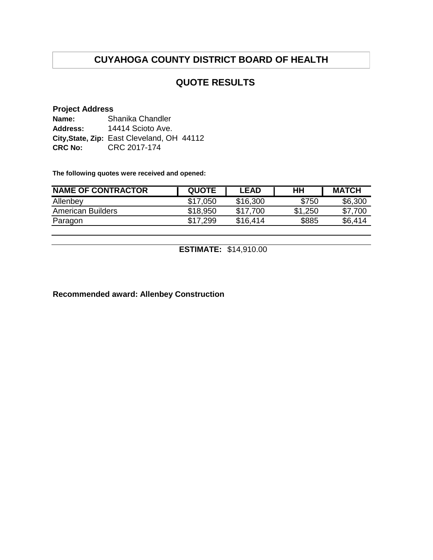## **QUOTE RESULTS**

#### **Project Address**

| Name:           | Shanika Chandler                           |
|-----------------|--------------------------------------------|
| <b>Address:</b> | 14414 Scioto Ave.                          |
|                 | City, State, Zip: East Cleveland, OH 44112 |
| <b>CRC No:</b>  | CRC 2017-174                               |

**The following quotes were received and opened:**

| <b>NAME OF CONTRACTOR</b> | <b>QUOTE</b> | <b>LEAD</b> | HH      | <b>MATCH</b> |
|---------------------------|--------------|-------------|---------|--------------|
| Allenbey                  | \$17.050     | \$16,300    | \$750   | \$6,300      |
| <b>American Builders</b>  | \$18,950     | \$17.700    | \$1,250 | \$7,700      |
| Paragon                   | \$17.299     | \$16,414    | \$885   | \$6.414      |
|                           |              |             |         |              |

**ESTIMATE:** \$14,910.00

**Recommended award: Allenbey Construction**